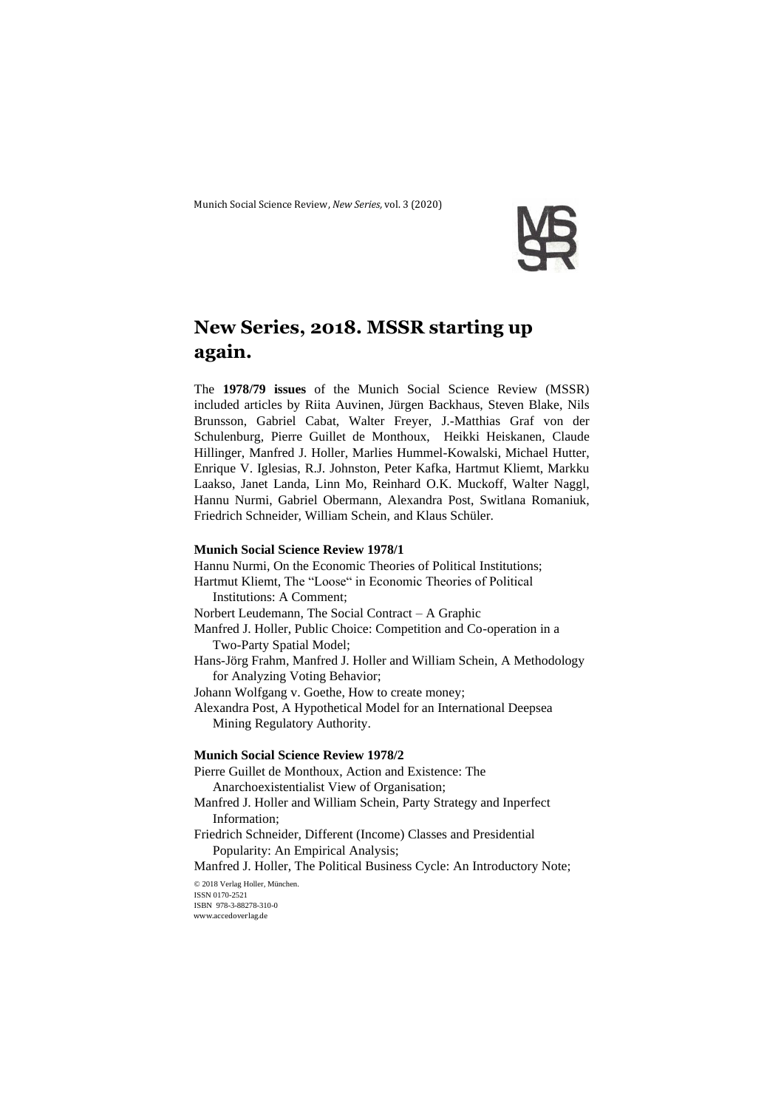Munich Social Science Review, *New Series,* vol. 3 (2020)



# **New Series, 2018. MSSR starting up again.**

The **1978/79 issues** of the Munich Social Science Review (MSSR) included articles by Riita Auvinen, Jürgen Backhaus, Steven Blake, Nils Brunsson, Gabriel Cabat, Walter Freyer, J.-Matthias Graf von der Schulenburg, Pierre Guillet de Monthoux, Heikki Heiskanen, Claude Hillinger, Manfred J. Holler, Marlies Hummel-Kowalski, Michael Hutter, Enrique V. Iglesias, R.J. Johnston, Peter Kafka, Hartmut Kliemt, Markku Laakso, Janet Landa, Linn Mo, Reinhard O.K. Muckoff, Walter Naggl, Hannu Nurmi, Gabriel Obermann, Alexandra Post, Switlana Romaniuk, Friedrich Schneider, William Schein, and Klaus Schüler.

### **Munich Social Science Review 1978/1**

Hannu Nurmi, On the Economic Theories of Political Institutions; Hartmut Kliemt, The "Loose" in Economic Theories of Political Institutions: A Comment; Norbert Leudemann, The Social Contract – A Graphic Manfred J. Holler, Public Choice: Competition and Co-operation in a Two-Party Spatial Model; Hans-Jörg Frahm, Manfred J. Holler and William Schein, A Methodology for Analyzing Voting Behavior; Johann Wolfgang v. Goethe, How to create money; Alexandra Post, A Hypothetical Model for an International Deepsea Mining Regulatory Authority. **Munich Social Science Review 1978/2** Pierre Guillet de Monthoux, Action and Existence: The Anarchoexistentialist View of Organisation; Manfred J. Holler and William Schein, Party Strategy and Inperfect Information; Friedrich Schneider, Different (Income) Classes and Presidential Popularity: An Empirical Analysis; Manfred J. Holler, The Political Business Cycle: An Introductory Note;

© 2018 Verlag Holler, München. ISSN 0170-2521 ISBN 978-3-88278-310-0 www.accedoverlag.de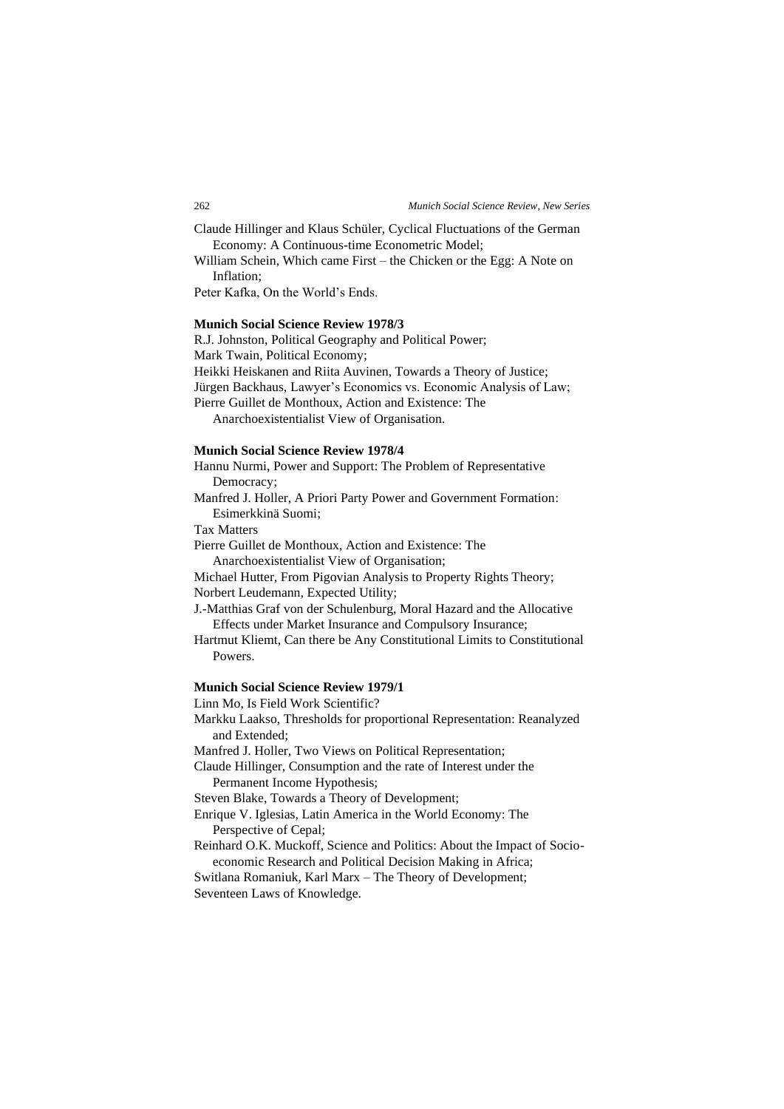Claude Hillinger and Klaus Schüler, Cyclical Fluctuations of the German Economy: A Continuous-time Econometric Model;

William Schein, Which came First – the Chicken or the Egg: A Note on Inflation;

Peter Kafka, On the World's Ends.

## **Munich Social Science Review 1978/3**

R.J. Johnston, Political Geography and Political Power;

Mark Twain, Political Economy;

Heikki Heiskanen and Riita Auvinen, Towards a Theory of Justice;

Jürgen Backhaus, Lawyer's Economics vs. Economic Analysis of Law;

Pierre Guillet de Monthoux, Action and Existence: The

Anarchoexistentialist View of Organisation.

#### **Munich Social Science Review 1978/4**

Hannu Nurmi, Power and Support: The Problem of Representative Democracy;

Manfred J. Holler, A Priori Party Power and Government Formation: Esimerkkinä Suomi;

Tax Matters

Pierre Guillet de Monthoux, Action and Existence: The Anarchoexistentialist View of Organisation;

Michael Hutter, From Pigovian Analysis to Property Rights Theory; Norbert Leudemann, Expected Utility;

J.-Matthias Graf von der Schulenburg, Moral Hazard and the Allocative Effects under Market Insurance and Compulsory Insurance;

Hartmut Kliemt, Can there be Any Constitutional Limits to Constitutional Powers.

## **Munich Social Science Review 1979/1**

Linn Mo, Is Field Work Scientific?

Markku Laakso, Thresholds for proportional Representation: Reanalyzed and Extended;

Manfred J. Holler, Two Views on Political Representation;

Claude Hillinger, Consumption and the rate of Interest under the Permanent Income Hypothesis;

Steven Blake, Towards a Theory of Development;

Enrique V. Iglesias, Latin America in the World Economy: The Perspective of Cepal;

Reinhard O.K. Muckoff, Science and Politics: About the Impact of Socioeconomic Research and Political Decision Making in Africa;

Switlana Romaniuk, Karl Marx – The Theory of Development; Seventeen Laws of Knowledge.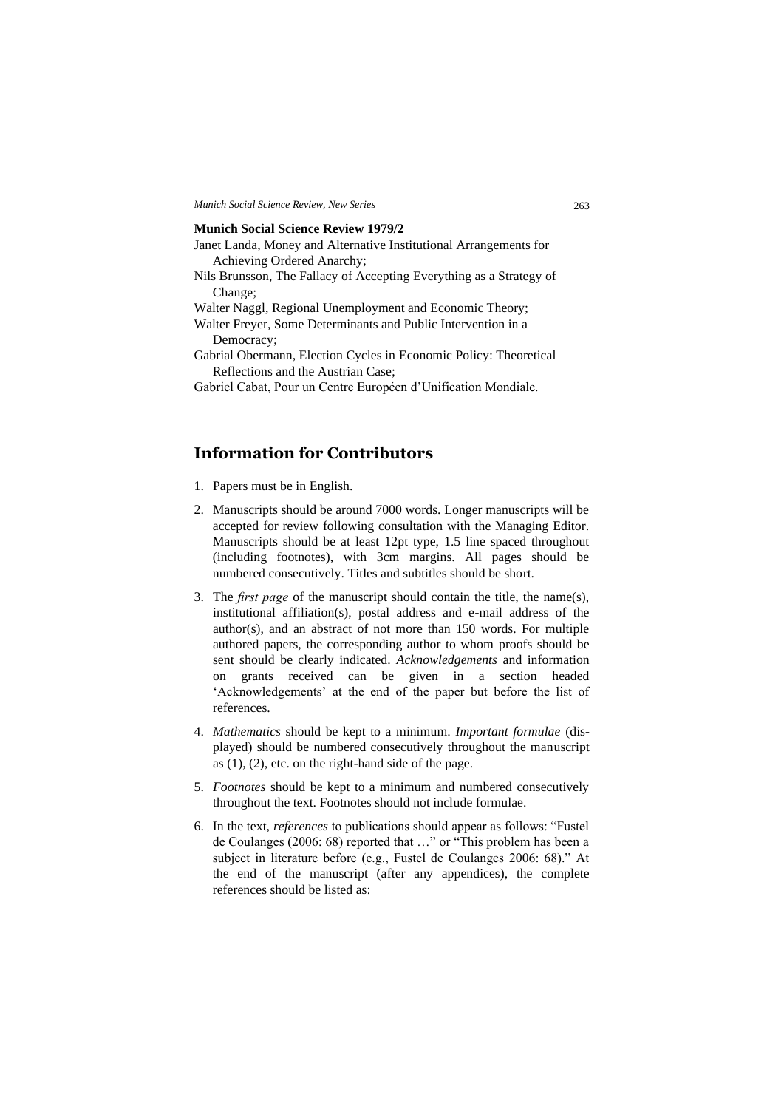#### **Munich Social Science Review 1979/2**

- Janet Landa, Money and Alternative Institutional Arrangements for Achieving Ordered Anarchy;
- Nils Brunsson, The Fallacy of Accepting Everything as a Strategy of Change;
- Walter Naggl, Regional Unemployment and Economic Theory;
- Walter Freyer, Some Determinants and Public Intervention in a Democracy;
- Gabrial Obermann, Election Cycles in Economic Policy: Theoretical Reflections and the Austrian Case;
- Gabriel Cabat, Pour un Centre Européen d'Unification Mondiale.

## **Information for Contributors**

- 1. Papers must be in English.
- 2. Manuscripts should be around 7000 words. Longer manuscripts will be accepted for review following consultation with the Managing Editor. Manuscripts should be at least 12pt type, 1.5 line spaced throughout (including footnotes), with 3cm margins. All pages should be numbered consecutively. Titles and subtitles should be short.
- 3. The *first page* of the manuscript should contain the title, the name(s), institutional affiliation(s), postal address and e-mail address of the author(s), and an abstract of not more than 150 words. For multiple authored papers, the corresponding author to whom proofs should be sent should be clearly indicated. *Acknowledgements* and information on grants received can be given in a section headed 'Acknowledgements' at the end of the paper but before the list of references.
- 4. *Mathematics* should be kept to a minimum. *Important formulae* (displayed) should be numbered consecutively throughout the manuscript as  $(1)$ ,  $(2)$ , etc. on the right-hand side of the page.
- 5. *Footnotes* should be kept to a minimum and numbered consecutively throughout the text. Footnotes should not include formulae.
- 6. In the text, *references* to publications should appear as follows: "Fustel de Coulanges (2006: 68) reported that …" or "This problem has been a subject in literature before (e.g., Fustel de Coulanges 2006: 68)." At the end of the manuscript (after any appendices), the complete references should be listed as: